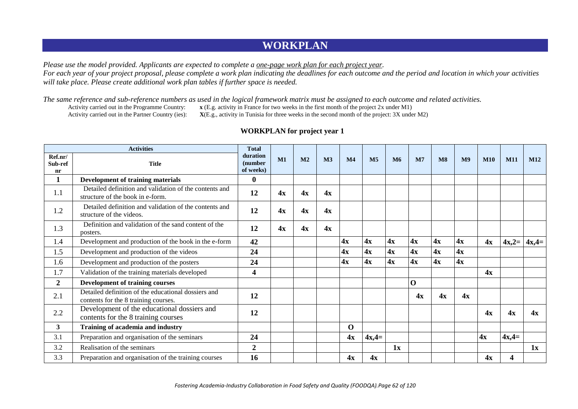## **WORKPLAN**

*Please use the model provided. Applicants are expected to complete a one-page work plan for each project year. For each year of your project proposal, please complete a work plan indicating the deadlines for each outcome and the period and location in which your activities will take place. Please create additional work plan tables if further space is needed.*

*The same reference and sub-reference numbers as used in the logical framework matrix must be assigned to each outcome and related activities.*<br>Activity carried out in the Programme Country:  $x(E.g.$  activity in France for t

Activity carried out in the Programme Country: **x** (E.g. activity in France for two weeks in the first month of the project 2x under M1)<br>Activity carried out in the Partner Country (ies): **X**(E.g., activity in Tunisia for  $X(E, g.,$  activity in Tunisia for three weeks in the second month of the project:  $3X$  under M2)

|                          | <b>Activities</b>                                                                           | <b>Total</b>                     |    |                |                |                |                |    |             |                               |                |            |            |         |
|--------------------------|---------------------------------------------------------------------------------------------|----------------------------------|----|----------------|----------------|----------------|----------------|----|-------------|-------------------------------|----------------|------------|------------|---------|
| Ref.nr/<br>Sub-ref<br>nr | <b>Title</b>                                                                                | duration<br>(number<br>of weeks) | M1 | M <sub>2</sub> | M <sub>3</sub> | M <sub>4</sub> | M <sub>5</sub> | M6 | M7          | $\overline{\text{M}}\text{8}$ | M <sub>9</sub> | <b>M10</b> | <b>M11</b> | M12     |
| 1                        | <b>Development of training materials</b>                                                    | $\bf{0}$                         |    |                |                |                |                |    |             |                               |                |            |            |         |
| 1.1                      | Detailed definition and validation of the contents and<br>structure of the book in e-form.  | 12                               | 4x | 4x             | 4x             |                |                |    |             |                               |                |            |            |         |
| 1.2                      | Detailed definition and validation of the contents and<br>structure of the videos.          | 12                               | 4x | 4x             | 4x             |                |                |    |             |                               |                |            |            |         |
| 1.3                      | Definition and validation of the sand content of the<br>posters.                            | 12                               | 4x | 4x             | 4x             |                |                |    |             |                               |                |            |            |         |
| 1.4                      | Development and production of the book in the e-form                                        | 42                               |    |                |                | 4x             | 4x             | 4x | 4x          | 4x                            | 4x             | 4x         | $4x,2=$    | $4x,4=$ |
| 1.5                      | Development and production of the videos                                                    | 24                               |    |                |                | 4x             | 4x             | 4x | 4x          | 4x                            | 4x             |            |            |         |
| 1.6                      | Development and production of the posters                                                   | 24                               |    |                |                | 4x             | 4x             | 4x | 4x          | 4x                            | 4x             |            |            |         |
| 1.7                      | Validation of the training materials developed                                              | $\overline{\mathbf{4}}$          |    |                |                |                |                |    |             |                               |                | 4x         |            |         |
| $\overline{2}$           | <b>Development of training courses</b>                                                      |                                  |    |                |                |                |                |    | $\mathbf 0$ |                               |                |            |            |         |
| 2.1                      | Detailed definition of the educational dossiers and<br>contents for the 8 training courses. | 12                               |    |                |                |                |                |    | 4x          | 4x                            | 4x             |            |            |         |
| 2.2                      | Development of the educational dossiers and<br>contents for the 8 training courses          | 12                               |    |                |                |                |                |    |             |                               |                | 4x         | 4x         | 4x      |
| $\mathbf{3}$             | Training of academia and industry                                                           |                                  |    |                |                | $\mathbf 0$    |                |    |             |                               |                |            |            |         |
| 3.1                      | Preparation and organisation of the seminars                                                | 24                               |    |                |                | 4x             | $4x,4=$        |    |             |                               |                | 4x         | $4x,4=$    |         |
| 3.2                      | Realisation of the seminars                                                                 | $\mathbf{2}$                     |    |                |                |                |                | 1x |             |                               |                |            |            | 1x      |
| 3.3                      | Preparation and organisation of the training courses                                        | 16                               |    |                |                | 4x             | 4x             |    |             |                               |                | 4x         | 4          |         |

## **WORKPLAN** for project year 1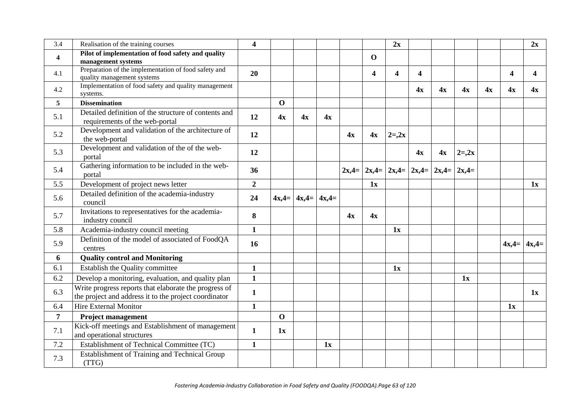| 3.4             | Realisation of the training courses                                                                            | 4                |             |                             |    |    |                         | 2x       |                                                 |    |          |    |    | 2x                |
|-----------------|----------------------------------------------------------------------------------------------------------------|------------------|-------------|-----------------------------|----|----|-------------------------|----------|-------------------------------------------------|----|----------|----|----|-------------------|
| 4               | Pilot of implementation of food safety and quality<br>management systems                                       |                  |             |                             |    |    | $\mathbf{O}$            |          |                                                 |    |          |    |    |                   |
| 4.1             | Preparation of the implementation of food safety and<br>quality management systems                             | 20               |             |                             |    |    | $\overline{\mathbf{4}}$ | 4        | $\overline{\mathbf{4}}$                         |    |          |    | 4  | $\boldsymbol{4}$  |
| 4.2             | Implementation of food safety and quality management<br>systems.                                               |                  |             |                             |    |    |                         |          | 4x                                              | 4x | 4x       | 4x | 4x | 4x                |
| $5\overline{)}$ | <b>Dissemination</b>                                                                                           |                  | $\Omega$    |                             |    |    |                         |          |                                                 |    |          |    |    |                   |
| 5.1             | Detailed definition of the structure of contents and<br>requirements of the web-portal                         | 12               | 4x          | 4x                          | 4x |    |                         |          |                                                 |    |          |    |    |                   |
| 5.2             | Development and validation of the architecture of<br>the web-portal                                            | 12               |             |                             |    | 4x | 4x                      | $2 = 2x$ |                                                 |    |          |    |    |                   |
| 5.3             | Development and validation of the of the web-<br>portal                                                        | 12               |             |                             |    |    |                         |          | 4x                                              | 4x | $2 = 2x$ |    |    |                   |
| 5.4             | Gathering information to be included in the web-<br>portal                                                     | 36               |             |                             |    |    |                         |          | $2x,4=$ $2x,4=$ $2x,4=$ $2x,4=$ $2x,4=$ $2x,4=$ |    |          |    |    |                   |
| 5.5             | Development of project news letter                                                                             | $\boldsymbol{2}$ |             |                             |    |    | 1x                      |          |                                                 |    |          |    |    | 1x                |
| 5.6             | Detailed definition of the academia-industry<br>council                                                        | 24               |             | $4x,4=$   $4x,4=$   $4x,4=$ |    |    |                         |          |                                                 |    |          |    |    |                   |
| 5.7             | Invitations to representatives for the academia-<br>industry council                                           | 8                |             |                             |    | 4x | 4x                      |          |                                                 |    |          |    |    |                   |
| 5.8             | Academia-industry council meeting                                                                              | $\mathbf{1}$     |             |                             |    |    |                         | 1x       |                                                 |    |          |    |    |                   |
| 5.9             | Definition of the model of associated of FoodQA<br>centres                                                     | 16               |             |                             |    |    |                         |          |                                                 |    |          |    |    | $4x,4=$   $4x,4=$ |
| 6               | <b>Quality control and Monitoring</b>                                                                          |                  |             |                             |    |    |                         |          |                                                 |    |          |    |    |                   |
| 6.1             | Establish the Quality committee                                                                                | $\mathbf{1}$     |             |                             |    |    |                         | 1x       |                                                 |    |          |    |    |                   |
| 6.2             | Develop a monitoring, evaluation, and quality plan                                                             | $\mathbf{1}$     |             |                             |    |    |                         |          |                                                 |    | 1x       |    |    |                   |
| 6.3             | Write progress reports that elaborate the progress of<br>the project and address it to the project coordinator | $\mathbf{1}$     |             |                             |    |    |                         |          |                                                 |    |          |    |    | 1x                |
| 6.4             | Hire External Monitor                                                                                          | $\mathbf{1}$     |             |                             |    |    |                         |          |                                                 |    |          |    | 1x |                   |
| $\overline{7}$  | <b>Project management</b>                                                                                      |                  | $\mathbf 0$ |                             |    |    |                         |          |                                                 |    |          |    |    |                   |
| 7.1             | Kick-off meetings and Establishment of management<br>and operational structures                                | $\mathbf{1}$     | 1x          |                             |    |    |                         |          |                                                 |    |          |    |    |                   |
| 7.2             | Establishment of Technical Committee (TC)                                                                      | $\mathbf{1}$     |             |                             | 1x |    |                         |          |                                                 |    |          |    |    |                   |
| 7.3             | Establishment of Training and Technical Group<br>(TTG)                                                         |                  |             |                             |    |    |                         |          |                                                 |    |          |    |    |                   |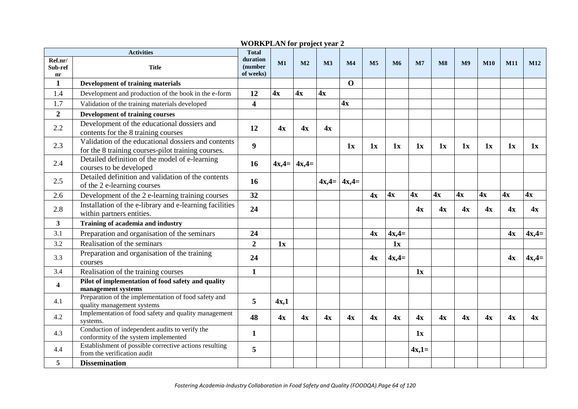|                          | <b>Activities</b>                                                                                         | <b>Total</b>                     |         |                |    |                 |                |                |                |    |                |            |            |         |
|--------------------------|-----------------------------------------------------------------------------------------------------------|----------------------------------|---------|----------------|----|-----------------|----------------|----------------|----------------|----|----------------|------------|------------|---------|
| Ref.nr/<br>Sub-ref<br>nr | <b>Title</b>                                                                                              | duration<br>(number<br>of weeks) | M1      | M <sub>2</sub> | M3 | M <sub>4</sub>  | M <sub>5</sub> | M <sub>6</sub> | M <sub>7</sub> | M8 | M <sub>9</sub> | <b>M10</b> | <b>M11</b> | M12     |
| $\mathbf{1}$             | <b>Development of training materials</b>                                                                  |                                  |         |                |    | $\mathbf 0$     |                |                |                |    |                |            |            |         |
| 1.4                      | Development and production of the book in the e-form                                                      | 12                               | 4x      | 4x             | 4x |                 |                |                |                |    |                |            |            |         |
| 1.7                      | Validation of the training materials developed                                                            | $\overline{\mathbf{4}}$          |         |                |    | 4x              |                |                |                |    |                |            |            |         |
| $\overline{2}$           | <b>Development of training courses</b>                                                                    |                                  |         |                |    |                 |                |                |                |    |                |            |            |         |
| 2.2                      | Development of the educational dossiers and<br>contents for the 8 training courses                        | 12                               | 4x      | 4x             | 4x |                 |                |                |                |    |                |            |            |         |
| 2.3                      | Validation of the educational dossiers and contents<br>for the 8 training courses-pilot training courses. | $\boldsymbol{9}$                 |         |                |    | 1x              | 1x             | 1x             | 1x             | 1x | 1x             | 1x         | 1x         | 1x      |
| 2.4                      | Detailed definition of the model of e-learning<br>courses to be developed                                 | 16                               | $4x,4=$ | $4x,4=$        |    |                 |                |                |                |    |                |            |            |         |
| 2.5                      | Detailed definition and validation of the contents<br>of the 2 e-learning courses                         | 16                               |         |                |    | $4x,4=$ $4x,4=$ |                |                |                |    |                |            |            |         |
| 2.6                      | Development of the 2 e-learning training courses                                                          | 32                               |         |                |    |                 | 4x             | 4x             | 4x             | 4x | 4x             | 4x         | 4x         | 4x      |
| 2.8                      | Installation of the e-library and e-learning facilities<br>within partners entities.                      | 24                               |         |                |    |                 |                |                | 4x             | 4x | 4x             | 4x         | 4x         | 4x      |
| $\mathbf{3}$             | Training of academia and industry                                                                         |                                  |         |                |    |                 |                |                |                |    |                |            |            |         |
| 3.1                      | Preparation and organisation of the seminars                                                              | 24                               |         |                |    |                 | 4x             | $4x,4=$        |                |    |                |            | 4x         | $4x,4=$ |
| 3.2                      | Realisation of the seminars                                                                               | $\overline{2}$                   | 1x      |                |    |                 |                | 1x             |                |    |                |            |            |         |
| 3.3                      | Preparation and organisation of the training<br>courses                                                   | 24                               |         |                |    |                 | 4x             | $4x,4=$        |                |    |                |            | 4x         | $4x,4=$ |
| 3.4                      | Realisation of the training courses                                                                       | $\mathbf{1}$                     |         |                |    |                 |                |                | 1x             |    |                |            |            |         |
| 4                        | Pilot of implementation of food safety and quality<br>management systems                                  |                                  |         |                |    |                 |                |                |                |    |                |            |            |         |
| 4.1                      | Preparation of the implementation of food safety and<br>quality management systems                        | 5                                | 4x,1    |                |    |                 |                |                |                |    |                |            |            |         |
| 4.2                      | Implementation of food safety and quality management<br>systems.                                          | 48                               | 4x      | 4x             | 4x | 4x              | 4x             | 4x             | 4x             | 4x | 4x             | 4x         | 4x         | 4x      |
| 4.3                      | Conduction of independent audits to verify the<br>conformity of the system implemented                    | $\mathbf{1}$                     |         |                |    |                 |                |                | 1x             |    |                |            |            |         |
| 4.4                      | Establishment of possible corrective actions resulting<br>from the verification audit                     | 5                                |         |                |    |                 |                |                | $4x,1=$        |    |                |            |            |         |
| 5                        | <b>Dissemination</b>                                                                                      |                                  |         |                |    |                 |                |                |                |    |                |            |            |         |

## **WORKPLAN for project year 2**☒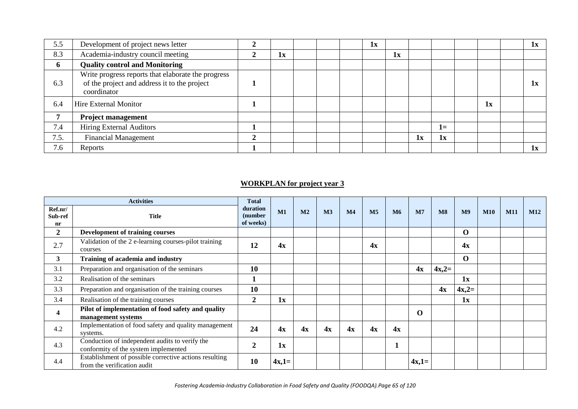| 5.5  | Development of project news letter                                                                                |    |  | 1x |    |    |      |    | 1x |
|------|-------------------------------------------------------------------------------------------------------------------|----|--|----|----|----|------|----|----|
| 8.3  | Academia-industry council meeting                                                                                 | 1x |  |    | 1x |    |      |    |    |
| 6    | <b>Quality control and Monitoring</b>                                                                             |    |  |    |    |    |      |    |    |
| 6.3  | Write progress reports that elaborate the progress<br>of the project and address it to the project<br>coordinator |    |  |    |    |    |      |    | 1x |
| 6.4  | Hire External Monitor                                                                                             |    |  |    |    |    |      | 1x |    |
|      | <b>Project management</b>                                                                                         |    |  |    |    |    |      |    |    |
| 7.4  | <b>Hiring External Auditors</b>                                                                                   |    |  |    |    |    | $1=$ |    |    |
| 7.5. | <b>Financial Management</b>                                                                                       |    |  |    |    | 1x | 1x   |    |    |
| 7.6  | Reports                                                                                                           |    |  |    |    |    |      |    | 1x |

## **WORKPLAN** for project year 3

|                          | <b>Activities</b>                                                                      | <b>Total</b>                     |         |                |                |                |                |    |                |                        |                |            |            |            |
|--------------------------|----------------------------------------------------------------------------------------|----------------------------------|---------|----------------|----------------|----------------|----------------|----|----------------|------------------------|----------------|------------|------------|------------|
| Ref.nr/<br>Sub-ref<br>nr | <b>Title</b>                                                                           | duration<br>(number<br>of weeks) | M1      | M <sub>2</sub> | M <sub>3</sub> | M <sub>4</sub> | M <sub>5</sub> | M6 | M <sub>7</sub> | $\overline{\text{M8}}$ | M <sub>9</sub> | <b>M10</b> | <b>M11</b> | <b>M12</b> |
| $\overline{2}$           | <b>Development of training courses</b>                                                 |                                  |         |                |                |                |                |    |                |                        | $\mathbf 0$    |            |            |            |
| 2.7                      | Validation of the 2 e-learning courses-pilot training<br>courses                       | 12                               | 4x      |                |                |                | 4x             |    |                |                        | 4x             |            |            |            |
| 3                        | Training of academia and industry                                                      |                                  |         |                |                |                |                |    |                |                        | $\mathbf 0$    |            |            |            |
| 3.1                      | Preparation and organisation of the seminars                                           | <b>10</b>                        |         |                |                |                |                |    | 4x             | $4x,2=$                |                |            |            |            |
| 3.2                      | Realisation of the seminars                                                            |                                  |         |                |                |                |                |    |                |                        | 1x             |            |            |            |
| 3.3                      | Preparation and organisation of the training courses                                   | 10                               |         |                |                |                |                |    |                | 4x                     | $4x,2=$        |            |            |            |
| 3.4                      | Realisation of the training courses                                                    | $\mathbf{2}$                     | 1x      |                |                |                |                |    |                |                        | 1x             |            |            |            |
| 4                        | Pilot of implementation of food safety and quality<br>management systems               |                                  |         |                |                |                |                |    | $\Omega$       |                        |                |            |            |            |
| 4.2                      | Implementation of food safety and quality management<br>systems.                       | 24                               | 4x      | 4x             | 4x             | 4x             | 4x             | 4x |                |                        |                |            |            |            |
| 4.3                      | Conduction of independent audits to verify the<br>conformity of the system implemented | $\mathcal{D}$                    | 1x      |                |                |                |                |    |                |                        |                |            |            |            |
| 4.4                      | Establishment of possible corrective actions resulting<br>from the verification audit  | 10                               | $4x,1=$ |                |                |                |                |    | $4x,1=$        |                        |                |            |            |            |